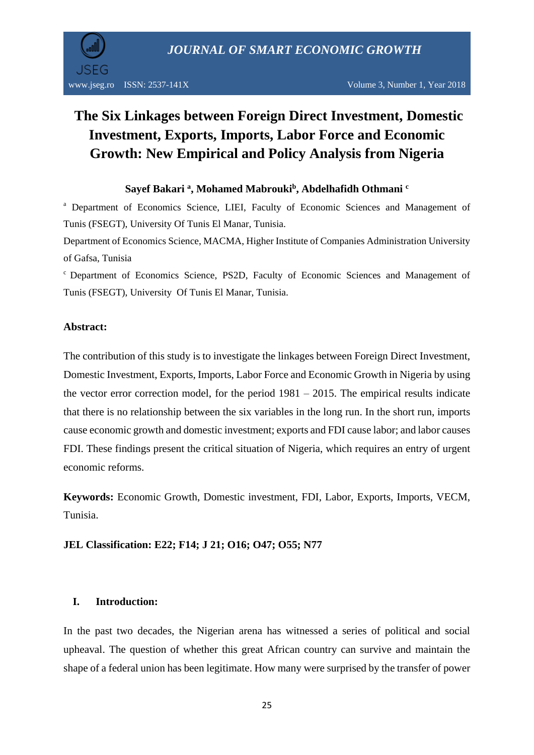

# **The Six Linkages between Foreign Direct Investment, Domestic Investment, Exports, Imports, Labor Force and Economic Growth: New Empirical and Policy Analysis from Nigeria**

## **Sayef Bakari <sup>a</sup> , Mohamed Mabrouki<sup>b</sup> , Abdelhafidh Othmani <sup>c</sup>**

<sup>a</sup> Department of Economics Science, LIEI, Faculty of Economic Sciences and Management of Tunis (FSEGT), University Of Tunis El Manar, Tunisia.

Department of Economics Science, MACMA, Higher Institute of Companies Administration University of Gafsa, Tunisia

<sup>c</sup> Department of Economics Science, PS2D, Faculty of Economic Sciences and Management of Tunis (FSEGT), University Of Tunis El Manar, Tunisia.

## **Abstract:**

The contribution of this study is to investigate the linkages between Foreign Direct Investment, Domestic Investment, Exports, Imports, Labor Force and Economic Growth in Nigeria by using the vector error correction model, for the period  $1981 - 2015$ . The empirical results indicate that there is no relationship between the six variables in the long run. In the short run, imports cause economic growth and domestic investment; exports and FDI cause labor; and labor causes FDI. These findings present the critical situation of Nigeria, which requires an entry of urgent economic reforms.

**Keywords:** Economic Growth, Domestic investment, FDI, Labor, Exports, Imports, VECM, Tunisia.

**JEL Classification: E22; F14; J 21; O16; O47; O55; N77**

## **I. Introduction:**

In the past two decades, the Nigerian arena has witnessed a series of political and social upheaval. The question of whether this great African country can survive and maintain the shape of a federal union has been legitimate. How many were surprised by the transfer of power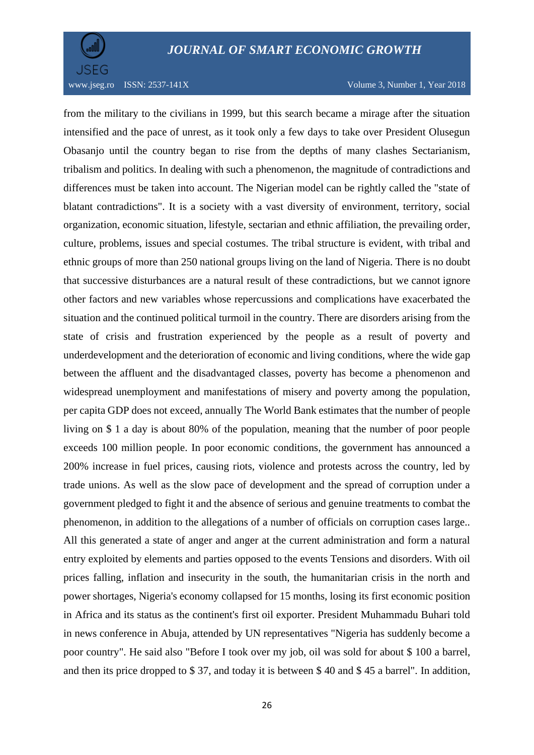

from the military to the civilians in 1999, but this search became a mirage after the situation intensified and the pace of unrest, as it took only a few days to take over President Olusegun Obasanjo until the country began to rise from the depths of many clashes Sectarianism, tribalism and politics. In dealing with such a phenomenon, the magnitude of contradictions and differences must be taken into account. The Nigerian model can be rightly called the "state of blatant contradictions". It is a society with a vast diversity of environment, territory, social organization, economic situation, lifestyle, sectarian and ethnic affiliation, the prevailing order, culture, problems, issues and special costumes. The tribal structure is evident, with tribal and ethnic groups of more than 250 national groups living on the land of Nigeria. There is no doubt that successive disturbances are a natural result of these contradictions, but we cannot ignore other factors and new variables whose repercussions and complications have exacerbated the situation and the continued political turmoil in the country. There are disorders arising from the state of crisis and frustration experienced by the people as a result of poverty and underdevelopment and the deterioration of economic and living conditions, where the wide gap between the affluent and the disadvantaged classes, poverty has become a phenomenon and widespread unemployment and manifestations of misery and poverty among the population, per capita GDP does not exceed, annually The World Bank estimates that the number of people living on \$ 1 a day is about 80% of the population, meaning that the number of poor people exceeds 100 million people. In poor economic conditions, the government has announced a 200% increase in fuel prices, causing riots, violence and protests across the country, led by trade unions. As well as the slow pace of development and the spread of corruption under a government pledged to fight it and the absence of serious and genuine treatments to combat the phenomenon, in addition to the allegations of a number of officials on corruption cases large.. All this generated a state of anger and anger at the current administration and form a natural entry exploited by elements and parties opposed to the events Tensions and disorders. With oil prices falling, inflation and insecurity in the south, the humanitarian crisis in the north and power shortages, Nigeria's economy collapsed for 15 months, losing its first economic position in Africa and its status as the continent's first oil exporter. President Muhammadu Buhari told in news conference in Abuja, attended by UN representatives "Nigeria has suddenly become a poor country". He said also "Before I took over my job, oil was sold for about \$ 100 a barrel, and then its price dropped to \$ 37, and today it is between \$ 40 and \$ 45 a barrel". In addition,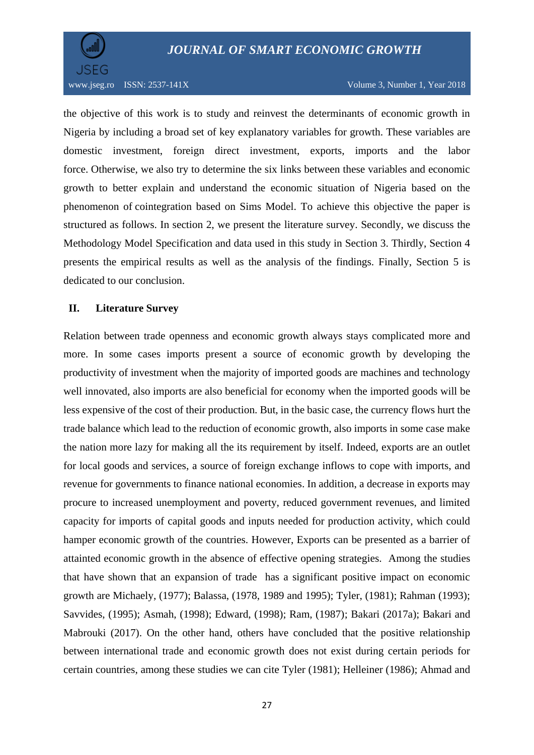

the objective of this work is to study and reinvest the determinants of economic growth in Nigeria by including a broad set of key explanatory variables for growth. These variables are domestic investment, foreign direct investment, exports, imports and the labor force. Otherwise, we also try to determine the six links between these variables and economic growth to better explain and understand the economic situation of Nigeria based on the phenomenon of cointegration based on Sims Model. To achieve this objective the paper is structured as follows. In section 2, we present the literature survey. Secondly, we discuss the Methodology Model Specification and data used in this study in Section 3. Thirdly, Section 4 presents the empirical results as well as the analysis of the findings. Finally, Section 5 is dedicated to our conclusion.

#### **II. Literature Survey**

Relation between trade openness and economic growth always stays complicated more and more. In some cases imports present a source of economic growth by developing the productivity of investment when the majority of imported goods are machines and technology well innovated, also imports are also beneficial for economy when the imported goods will be less expensive of the cost of their production. But, in the basic case, the currency flows hurt the trade balance which lead to the reduction of economic growth, also imports in some case make the nation more lazy for making all the its requirement by itself. Indeed, exports are an outlet for local goods and services, a source of foreign exchange inflows to cope with imports, and revenue for governments to finance national economies. In addition, a decrease in exports may procure to increased unemployment and poverty, reduced government revenues, and limited capacity for imports of capital goods and inputs needed for production activity, which could hamper economic growth of the countries. However, Exports can be presented as a barrier of attainted economic growth in the absence of effective opening strategies. Among the studies that have shown that an expansion of trade has a significant positive impact on economic growth are Michaely, (1977); Balassa, (1978, 1989 and 1995); Tyler, (1981); Rahman (1993); Savvides, (1995); Asmah, (1998); Edward, (1998); Ram, (1987); Bakari (2017a); Bakari and Mabrouki (2017). On the other hand, others have concluded that the positive relationship between international trade and economic growth does not exist during certain periods for certain countries, among these studies we can cite Tyler (1981); Helleiner (1986); Ahmad and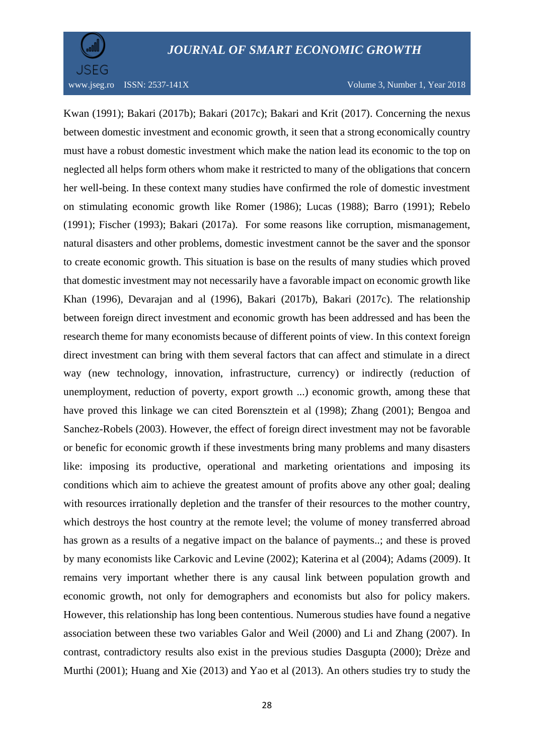

Kwan (1991); Bakari (2017b); Bakari (2017c); Bakari and Krit (2017). Concerning the nexus between domestic investment and economic growth, it seen that a strong economically country must have a robust domestic investment which make the nation lead its economic to the top on neglected all helps form others whom make it restricted to many of the obligations that concern her well-being. In these context many studies have confirmed the role of domestic investment on stimulating economic growth like Romer (1986); Lucas (1988); Barro (1991); Rebelo (1991); Fischer (1993); Bakari (2017a). For some reasons like corruption, mismanagement, natural disasters and other problems, domestic investment cannot be the saver and the sponsor to create economic growth. This situation is base on the results of many studies which proved that domestic investment may not necessarily have a favorable impact on economic growth like Khan (1996), Devarajan and al (1996), Bakari (2017b), Bakari (2017c). The relationship between foreign direct investment and economic growth has been addressed and has been the research theme for many economists because of different points of view. In this context foreign direct investment can bring with them several factors that can affect and stimulate in a direct way (new technology, innovation, infrastructure, currency) or indirectly (reduction of unemployment, reduction of poverty, export growth ...) economic growth, among these that have proved this linkage we can cited Borensztein et al (1998); Zhang (2001); Bengoa and Sanchez-Robels (2003). However, the effect of foreign direct investment may not be favorable or benefic for economic growth if these investments bring many problems and many disasters like: imposing its productive, operational and marketing orientations and imposing its conditions which aim to achieve the greatest amount of profits above any other goal; dealing with resources irrationally depletion and the transfer of their resources to the mother country, which destroys the host country at the remote level; the volume of money transferred abroad has grown as a results of a negative impact on the balance of payments..; and these is proved by many economists like Carkovic and Levine (2002); Katerina et al (2004); Adams (2009). It remains very important whether there is any causal link between population growth and economic growth, not only for demographers and economists but also for policy makers. However, this relationship has long been contentious. Numerous studies have found a negative association between these two variables Galor and Weil (2000) and Li and Zhang (2007). In contrast, contradictory results also exist in the previous studies Dasgupta (2000); Drèze and Murthi (2001); Huang and Xie (2013) and Yao et al (2013). An others studies try to study the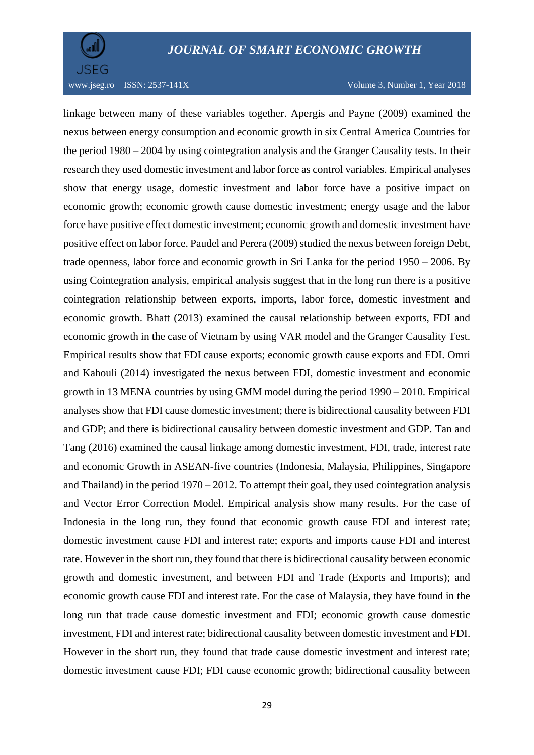

www.jseg.ro ISSN:  $2537-141X$  Volume 3, Number 1, Year 2018

linkage between many of these variables together. Apergis and Payne (2009) examined the nexus between energy consumption and economic growth in six Central America Countries for the period 1980 – 2004 by using cointegration analysis and the Granger Causality tests. In their research they used domestic investment and labor force as control variables. Empirical analyses show that energy usage, domestic investment and labor force have a positive impact on economic growth; economic growth cause domestic investment; energy usage and the labor force have positive effect domestic investment; economic growth and domestic investment have positive effect on labor force. Paudel and Perera (2009) studied the nexus between foreign Debt, trade openness, labor force and economic growth in Sri Lanka for the period 1950 – 2006. By using Cointegration analysis, empirical analysis suggest that in the long run there is a positive cointegration relationship between exports, imports, labor force, domestic investment and economic growth. Bhatt (2013) examined the causal relationship between exports, FDI and economic growth in the case of Vietnam by using VAR model and the Granger Causality Test. Empirical results show that FDI cause exports; economic growth cause exports and FDI. Omri and Kahouli (2014) investigated the nexus between FDI, domestic investment and economic growth in 13 MENA countries by using GMM model during the period 1990 – 2010. Empirical analyses show that FDI cause domestic investment; there is bidirectional causality between FDI and GDP; and there is bidirectional causality between domestic investment and GDP. Tan and Tang (2016) examined the causal linkage among domestic investment, FDI, trade, interest rate and economic Growth in ASEAN-five countries (Indonesia, Malaysia, Philippines, Singapore and Thailand) in the period 1970 – 2012. To attempt their goal, they used cointegration analysis and Vector Error Correction Model. Empirical analysis show many results. For the case of Indonesia in the long run, they found that economic growth cause FDI and interest rate; domestic investment cause FDI and interest rate; exports and imports cause FDI and interest rate. However in the short run, they found that there is bidirectional causality between economic growth and domestic investment, and between FDI and Trade (Exports and Imports); and economic growth cause FDI and interest rate. For the case of Malaysia, they have found in the long run that trade cause domestic investment and FDI; economic growth cause domestic investment, FDI and interest rate; bidirectional causality between domestic investment and FDI. However in the short run, they found that trade cause domestic investment and interest rate; domestic investment cause FDI; FDI cause economic growth; bidirectional causality between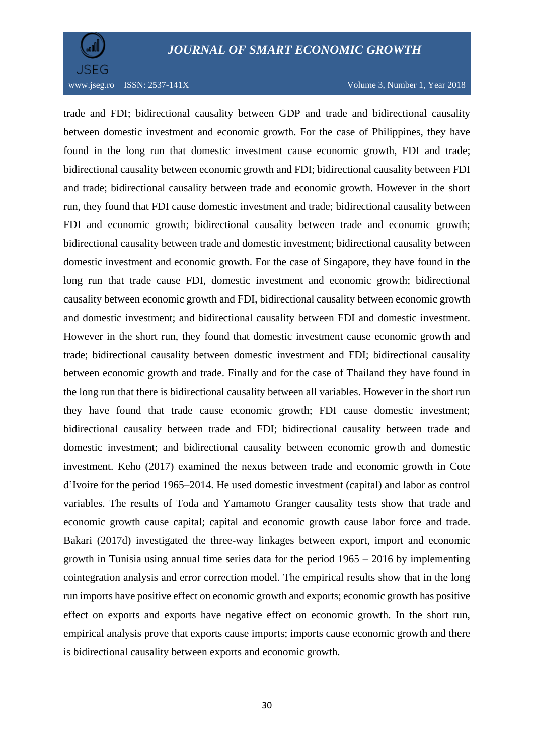



trade and FDI; bidirectional causality between GDP and trade and bidirectional causality between domestic investment and economic growth. For the case of Philippines, they have found in the long run that domestic investment cause economic growth, FDI and trade; bidirectional causality between economic growth and FDI; bidirectional causality between FDI and trade; bidirectional causality between trade and economic growth. However in the short run, they found that FDI cause domestic investment and trade; bidirectional causality between FDI and economic growth; bidirectional causality between trade and economic growth; bidirectional causality between trade and domestic investment; bidirectional causality between domestic investment and economic growth. For the case of Singapore, they have found in the long run that trade cause FDI, domestic investment and economic growth; bidirectional causality between economic growth and FDI, bidirectional causality between economic growth and domestic investment; and bidirectional causality between FDI and domestic investment. However in the short run, they found that domestic investment cause economic growth and trade; bidirectional causality between domestic investment and FDI; bidirectional causality between economic growth and trade. Finally and for the case of Thailand they have found in the long run that there is bidirectional causality between all variables. However in the short run they have found that trade cause economic growth; FDI cause domestic investment; bidirectional causality between trade and FDI; bidirectional causality between trade and domestic investment; and bidirectional causality between economic growth and domestic investment. Keho (2017) examined the nexus between trade and economic growth in Cote d'Ivoire for the period 1965–2014. He used domestic investment (capital) and labor as control variables. The results of Toda and Yamamoto Granger causality tests show that trade and economic growth cause capital; capital and economic growth cause labor force and trade. Bakari (2017d) investigated the three-way linkages between export, import and economic growth in Tunisia using annual time series data for the period  $1965 - 2016$  by implementing cointegration analysis and error correction model. The empirical results show that in the long run imports have positive effect on economic growth and exports; economic growth has positive effect on exports and exports have negative effect on economic growth. In the short run, empirical analysis prove that exports cause imports; imports cause economic growth and there is bidirectional causality between exports and economic growth.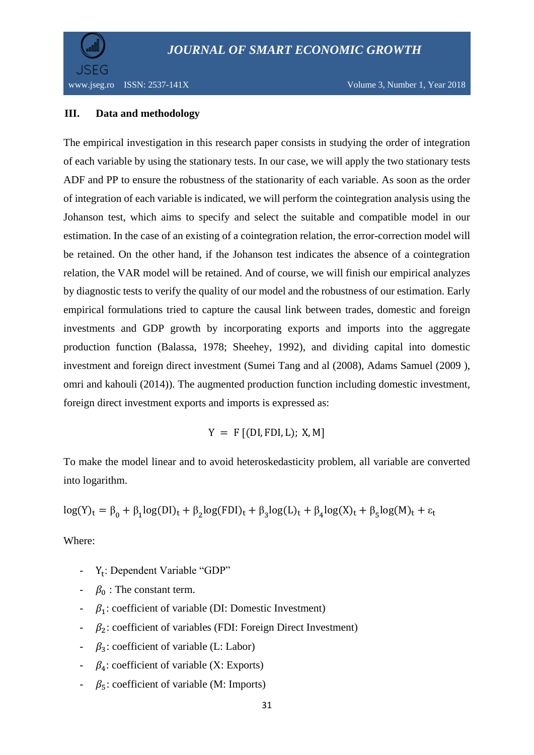

www.jseg.ro ISSN: 2537-141X Volume 3, Number 1, Year 2018

## **III. Data and methodology**

The empirical investigation in this research paper consists in studying the order of integration of each variable by using the stationary tests. In our case, we will apply the two stationary tests ADF and PP to ensure the robustness of the stationarity of each variable. As soon as the order of integration of each variable is indicated, we will perform the cointegration analysis using the Johanson test, which aims to specify and select the suitable and compatible model in our estimation. In the case of an existing of a cointegration relation, the error-correction model will be retained. On the other hand, if the Johanson test indicates the absence of a cointegration relation, the VAR model will be retained. And of course, we will finish our empirical analyzes by diagnostic tests to verify the quality of our model and the robustness of our estimation. Early empirical formulations tried to capture the causal link between trades, domestic and foreign investments and GDP growth by incorporating exports and imports into the aggregate production function (Balassa, 1978; Sheehey, 1992), and dividing capital into domestic investment and foreign direct investment (Sumei Tang and al (2008), Adams Samuel (2009 ), omri and kahouli (2014)). The augmented production function including domestic investment, foreign direct investment exports and imports is expressed as:

 $Y = F$  [(DI, FDI, L); X, M]

To make the model linear and to avoid heteroskedasticity problem, all variable are converted into logarithm.

$$
log(Y)_t = \beta_0 + \beta_1 log(DI)_t + \beta_2 log(FDI)_t + \beta_3 log(L)_t + \beta_4 log(X)_t + \beta_5 log(M)_t + \epsilon_t
$$

Where:

- Y<sub>t</sub>: Dependent Variable "GDP"
- $\beta_0$ : The constant term.
- $-\beta_1$ : coefficient of variable (DI: Domestic Investment)
- $-\beta_2$ : coefficient of variables (FDI: Foreign Direct Investment)
- $\beta_3$ : coefficient of variable (L: Labor)
- $\beta_4$ : coefficient of variable (X: Exports)
- $\beta$ <sub>5</sub>: coefficient of variable (M: Imports)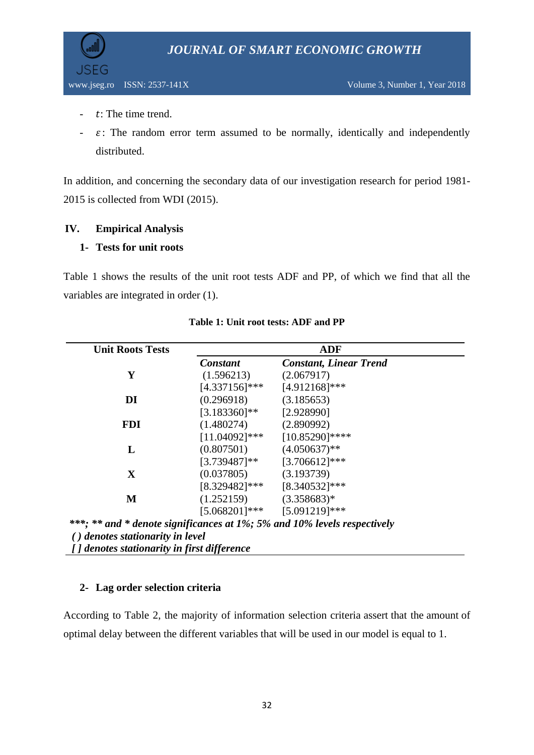

- $\cdot$  t: The time trend.
- $\epsilon$ : The random error term assumed to be normally, identically and independently distributed.

In addition, and concerning the secondary data of our investigation research for period 1981- 2015 is collected from WDI (2015).

## **IV. Empirical Analysis**

## **1- Tests for unit roots**

Table 1 shows the results of the unit root tests ADF and PP, of which we find that all the variables are integrated in order (1).

| <b>Unit Roots Tests</b>                     | <b>ADF</b>       |                                                                          |  |  |  |
|---------------------------------------------|------------------|--------------------------------------------------------------------------|--|--|--|
|                                             | <b>Constant</b>  | <b>Constant, Linear Trend</b>                                            |  |  |  |
| Y                                           | (1.596213)       | (2.067917)                                                               |  |  |  |
|                                             | $[4.337156]$ *** | $[4.912168]$ ***                                                         |  |  |  |
| DI                                          | (0.296918)       | (3.185653)                                                               |  |  |  |
|                                             | $[3.183360]$ **  | [2.928990]                                                               |  |  |  |
| <b>FDI</b>                                  | (1.480274)       | (2.890992)                                                               |  |  |  |
|                                             | $[11.04092]$ *** | $[10.85290]$ ****                                                        |  |  |  |
| L                                           | (0.807501)       | $(4.050637)$ **                                                          |  |  |  |
|                                             | $[3.739487]$ **  | $[3.706612]$ ***                                                         |  |  |  |
| X                                           | (0.037805)       | (3.193739)                                                               |  |  |  |
|                                             | $[8.329482]$ *** | [8.340532]***                                                            |  |  |  |
| М                                           | (1.252159)       | $(3.358683)*$                                                            |  |  |  |
|                                             |                  | $[5.068201]$ *** $[5.091219]$ ***                                        |  |  |  |
|                                             |                  | ***; ** and * denote significances at 1%; 5% and 10% levels respectively |  |  |  |
| ( <i>)</i> denotes stationarity in level    |                  |                                                                          |  |  |  |
| [] denotes stationarity in first difference |                  |                                                                          |  |  |  |

### **Table 1: Unit root tests: ADF and PP**

## **2- Lag order selection criteria**

According to Table 2, the majority of information selection criteria assert that the amount of optimal delay between the different variables that will be used in our model is equal to 1.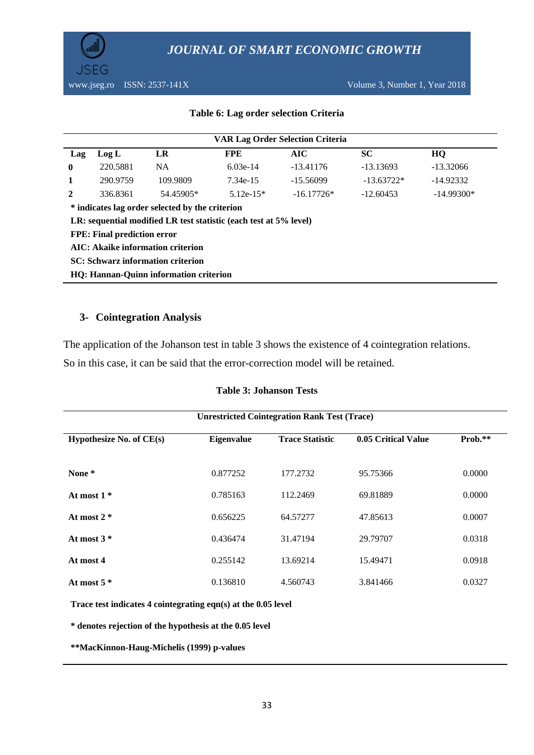

#### **Table 6: Lag order selection Criteria**

| <b>VAR Lag Order Selection Criteria</b>                           |          |           |             |              |              |              |  |  |
|-------------------------------------------------------------------|----------|-----------|-------------|--------------|--------------|--------------|--|--|
| Lag                                                               | Log L    | LR        | <b>FPE</b>  | AIC          | <b>SC</b>    | HQ           |  |  |
| $\bf{0}$                                                          | 220.5881 | <b>NA</b> | $6.03e-14$  | $-13.41176$  | $-13.13693$  | $-13.32066$  |  |  |
| 1                                                                 | 290.9759 | 109.9809  | 7.34e-15    | $-15.56099$  | $-13.63722*$ | $-14.92332$  |  |  |
| 2                                                                 | 336.8361 | 54.45905* | $5.12e-15*$ | $-16.17726*$ | $-12.60453$  | $-14.99300*$ |  |  |
| * indicates lag order selected by the criterion                   |          |           |             |              |              |              |  |  |
| LR: sequential modified LR test statistic (each test at 5% level) |          |           |             |              |              |              |  |  |
| <b>FPE: Final prediction error</b>                                |          |           |             |              |              |              |  |  |
| AIC: Akaike information criterion                                 |          |           |             |              |              |              |  |  |
| <b>SC: Schwarz information criterion</b>                          |          |           |             |              |              |              |  |  |
| HQ: Hannan-Quinn information criterion                            |          |           |             |              |              |              |  |  |

#### **3- Cointegration Analysis**

The application of the Johanson test in table 3 shows the existence of 4 cointegration relations.

So in this case, it can be said that the error-correction model will be retained.

#### **Table 3: Johanson Tests**

| <b>Unrestricted Cointegration Rank Test (Trace)</b> |            |                        |                     |         |  |  |  |
|-----------------------------------------------------|------------|------------------------|---------------------|---------|--|--|--|
| Hypothesize No. of CE(s)                            | Eigenvalue | <b>Trace Statistic</b> | 0.05 Critical Value | Prob.** |  |  |  |
| None *                                              | 0.877252   | 177.2732               | 95.75366            | 0.0000  |  |  |  |
| At most $1*$                                        | 0.785163   | 112.2469               | 69.81889            | 0.0000  |  |  |  |
| At most $2 *$                                       | 0.656225   | 64.57277               | 47.85613            | 0.0007  |  |  |  |
| At most $3*$                                        | 0.436474   | 31.47194               | 29.79707            | 0.0318  |  |  |  |
| At most 4                                           | 0.255142   | 13.69214               | 15.49471            | 0.0918  |  |  |  |
| At most $5*$                                        | 0.136810   | 4.560743               | 3.841466            | 0.0327  |  |  |  |

**Trace test indicates 4 cointegrating eqn(s) at the 0.05 level**

**\* denotes rejection of the hypothesis at the 0.05 level**

**\*\*MacKinnon-Haug-Michelis (1999) p-values**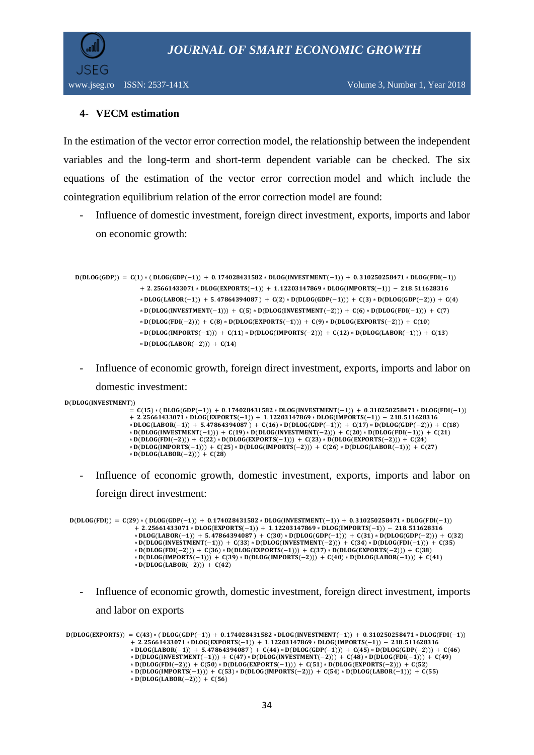

www.jseg.ro ISSN: 2537-141X Volume 3, Number 1, Year 2018

## **4- VECM estimation**

In the estimation of the vector error correction model, the relationship between the independent variables and the long-term and short-term dependent variable can be checked. The six equations of the estimation of the vector error correction model and which include the cointegration equilibrium relation of the error correction model are found:

Influence of domestic investment, foreign direct investment, exports, imports and labor on economic growth:

```
D(DLOG(GDP)) = C(1) * (DLOG(GDP(-1))) + 0.174028431582 * DLOG(INVESTMENT(-1))) + 0.310250258471 * DLOG(FDI(-1)))+ 2.25661433071 * DLOG(EXPORTS(-1)) + 1.12203147869 * DLOG(IMPORTS(-1)) - 218.511628316
                  * DLOG(LABOR(-1)) + 5.47864394087) + C(2)*D(DLOG(GDP(-1))) + C(3)*D(DLOG(GDP(-2))) + C(4)* D(DLOG(INVESTMENT(-1))) + C(5) * D(DLOG(INVESTMENT(-2))) + C(6) * D(DLOG(FDI(-1))) + C(7)
                  * D(DLOG(FDI(-2))) + C(8) * D(DLOG(EXPORTS(-1))) + C(9) * D(DLOG(EXPORTS(-2))) + C(10)*D(DLOG(IMPORTS(-1))) + C(11) * D(DLOG(IMPORTS(-2))) + C(12) * D(DLOG(LABOR(-1))) + C(13)*D(DLOG(LABOR(-2))) + C(14)
```
- Influence of economic growth, foreign direct investment, exports, imports and labor on domestic investment:
- $D(DLOG(INVESTMENT))$

```
= C(15) * ( DLOG(GDP(-1)) + 0.174028431582 * DLOG(INVESTMENT(-1)) + 0.310250258471 * DLOG(FDI(-1))
+ 2.25661433071 * DLOG(EXPORTS(-1)) + 1.12203147869 * DLOG(IMPORTS(-1)) - 218.511628316* DLOG(LABOR(-1)) + 5.\overline{47864394087)} + C(16)*D(DLOG(GDP(-1))) + C(17)*D(DLOG(GDP(-2))) + C(18)* D(DLOG(INVESTMENT(-1))) + C(19) * D(DLOG(INVESTMENT(-2))) + C(20) * D(DLOG(FDI(-1))) + C(21)
* D(DLOG(FDI(-2))) + C(22)*D(DLOG(EXPORTS(-1))) + C(23)*D(DLOG(EXPORTS(-2))) + C(24)*D(DLOG(IMPORTS(-1))) + C(25)*D(DLOG(IMPORTS(-2))) + C(26)*D(DLOG(LABOR(-1))) + C(27)* D(DLOG(LABOR(-2))) + C(28)
```
- Influence of economic growth, domestic investment, exports, imports and labor on foreign direct investment:

```
D(DLOG(FDI)) = C(29) * (DLOG(GDP(-1)) + 0.174028431582 * DLOG(INVESTMENT(-1)) + 0.310250258471 * DLOG(FDI(-1)))+ 2.25661433071* DLOG(EXPORTS(-1)) + 1.12203147869*DLOG(IMPORTS(-1)) - 218.511628316* DLOG(LABOR(-1)) + 5.47864394087) + C(30) * D(DLOG(GDP(-1))) + C(31) * D(DLOG(GDP(-2))) + C(32)* D(DLOG(INVESTMENT(-1))) + C(33) * D(DLOG(INVESTMENT(-2))) + C(34) * D(DLOG(FDI(-1))) + C(35)
                  * D(DLOG(FDI(-2))) + C(36) * D(DLOG(EXPORTS(-1))) + C(37) * D(DLOG(EXPORTS(-2))) + C(38)
                  * D(DLOG(IMPORTS(-1))) + C(39) * D(DLOG(IMPORTS(-2))) + C(40) * D(DLOG(LABOR(-1))) + C(41)
                  * D(DLOG(LABOR(-2))) + C(42)
```
- Influence of economic growth, domestic investment, foreign direct investment, imports and labor on exports

 $D(DLOG(EXPORTS)) = C(43) * (DLOG(GDP(-1)) + 0.174028431582 * DLOG(INVESTMENT(-1)) + 0.310250258471 * DLOG(FDI(-1)))$  $+ 2.25661433071 * DLOG(EXPORTS(-1)) + 1.12203147869 * DLOG(IMPORTS(-1)) - 218.511628316$ \* DLOG(LABOR(-1)) + 5.47864394087) +  $C(44)$  \* D(DLOG(GDP(-1))) +  $C(45)$  \* D(DLOG(GDP(-2))) +  $C(46)$ \* D(DLOG(INVESTMENT(-1))) + C(47) \* D(DLOG(INVESTMENT(-2))) + C(48) \* D(DLOG(FDI(-1))) + C(49) \* D(DLOG(FDI(-2))) + C(50) \* D(DLOG(EXPORTS(-1))) + C(51) \* D(DLOG(EXPORTS(-2))) + C(52)  $*$  D(DLOG(IMPORTS(-1))) + C(53)  $*$  D(DLOG(IMPORTS(-2))) + C(54)  $*$  D(DLOG(LABOR(-1))) + C(55) \*  $D(DLOG(LABOR(-2))) + C(56)$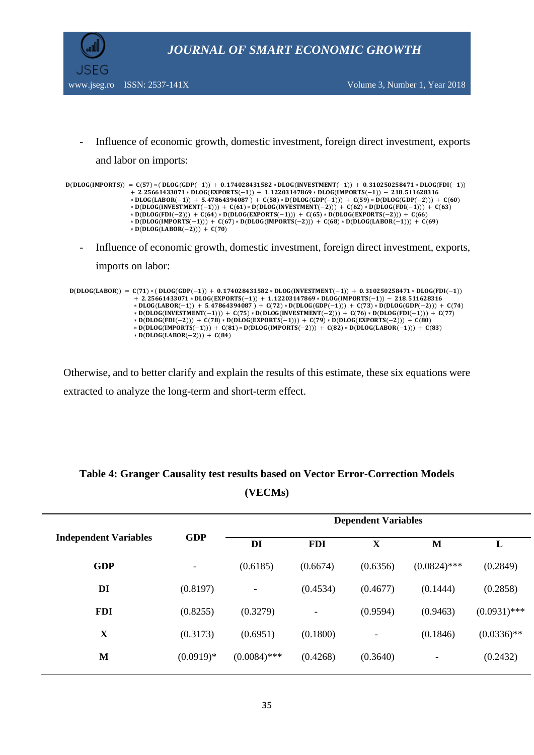

- Influence of economic growth, domestic investment, foreign direct investment, exports and labor on imports:

```
D(DLOG(IMPORTS)) = C(57) * (DLOG(GDP(-1))) + 0.174028431582 * DLOG(INVESTMENT(-1))) + 0.310250258471 * DLOG(FDI(-1)))+ 2.25661433071 * DLOG(EXPORTS(-1)) + 1.12203147869 * DLOG(IMPORTS(-1)) - 218.511628316* DLOG(LABOR(-1)) + 5.47864394087) + C(58) * D(DLOG(GDP(-1))) + C(59) * D(DLOG(GDP(-2))) + C(60)
                  * D(DLOG(INVESTMENT(−1))) + C(61) * D(DLOG(INVESTMENT(−2))) + C(62) * D(DLOG(FDI(−1))) + C(63)
                  * D(DLOG(FDI(-2))) + C(64)*D(DLOG(EXPORTS(-1))) + C(65)*D(DLOG(EXPORTS(-2))) + C(66)* D(DLOG(IMPORTS(-1))) + C(67) * D(DLOG(IMPORTS(-2))) + C(68) * D(DLOG(LABOR(-1))) + C(69)* D(DLOG(LABOR(-2))) + C(70)
```
- Influence of economic growth, domestic investment, foreign direct investment, exports,

imports on labor:

```
D(DLOG(LABOR)) = C(71) * (DLOG(GDP(-1)) + 0.174028431582 * DLOG(INVESTMENT(-1))) + 0.310250258471 * DLOG(FDI(-1)))+ 2.25661433071 * DLOG(EXPORTS(-1)) + 1.12203147869 * DLOG(IMPORTS(-1)) - 218.511628316* DLOG(LABOR(-1)) + 5.47864394087) + C(72) * D(DLOG(GDP(-1))) + C(73) * D(DLOG(GDP(-2))) + C(74)
                   * D(DLOG(INVESTMENT(-1))) + C(75) * D(DLOG(INVESTMENT(-2))) + C(76) * D(DLOG(FDI(-1))) + C(77)
                   * D(DLOG(FDI(-2))) + C(78) * D(DLOG(EXPORTS(-1))) + C(79) * D(DLOG(EXPORTS(-2))) + C(80)
                   * D(DLOG(IMPORTS(-1))) + C(81) * D(DLOG(IMPORTS(-2))) + C(82) * D(DLOG(LABOR(-1))) + C(83)
                  * D(DLOG(LABOR(-2))) + C(84)
```
Otherwise, and to better clarify and explain the results of this estimate, these six equations were extracted to analyze the long-term and short-term effect.

|                              |                          | <b>Dependent Variables</b> |            |             |                          |                |  |
|------------------------------|--------------------------|----------------------------|------------|-------------|--------------------------|----------------|--|
| <b>Independent Variables</b> | <b>GDP</b>               | DI                         | <b>FDI</b> | $\mathbf X$ | M                        | L              |  |
| <b>GDP</b>                   | $\overline{\phantom{a}}$ | (0.6185)                   | (0.6674)   | (0.6356)    | $(0.0824)$ ***           | (0.2849)       |  |
| DI                           | (0.8197)                 | $\overline{\phantom{a}}$   | (0.4534)   | (0.4677)    | (0.1444)                 | (0.2858)       |  |
| <b>FDI</b>                   | (0.8255)                 | (0.3279)                   |            | (0.9594)    | (0.9463)                 | $(0.0931)$ *** |  |
| X                            | (0.3173)                 | (0.6951)                   | (0.1800)   | ٠           | (0.1846)                 | $(0.0336)$ **  |  |
| M                            | $(0.0919)*$              | $(0.0084)$ ***             | (0.4268)   | (0.3640)    | $\overline{\phantom{a}}$ | (0.2432)       |  |
|                              |                          |                            |            |             |                          |                |  |

## **Table 4: Granger Causality test results based on Vector Error-Correction Models (VECMs)**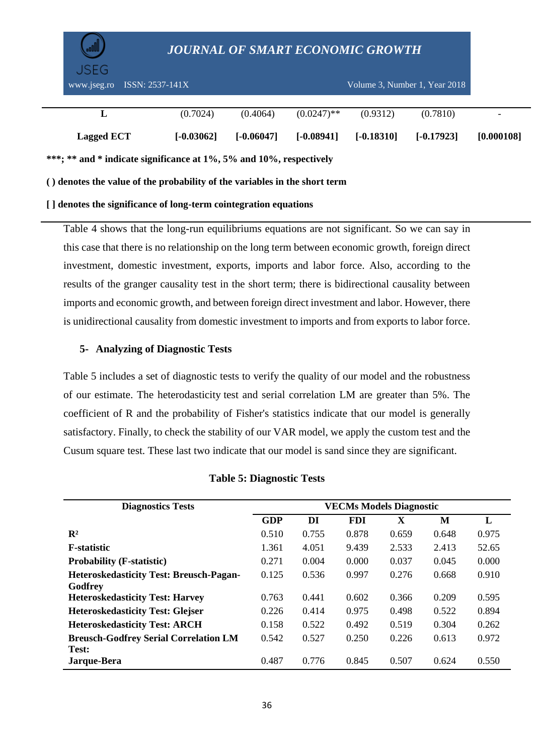| USEG.<br>$ISSN: 2537-141X$<br>www.jseg.ro                                  |              |              |               |              | Volume 3. Number 1. Year 2018 |            |
|----------------------------------------------------------------------------|--------------|--------------|---------------|--------------|-------------------------------|------------|
|                                                                            |              |              |               |              |                               |            |
|                                                                            | (0.7024)     | (0.4064)     | $(0.0247)$ ** | (0.9312)     | (0.7810)                      |            |
| Lagged ECT                                                                 | $[-0.03062]$ | $[-0.06047]$ | $[-0.08941]$  | $[-0.18310]$ | $[-0.17923]$                  | [0.000108] |
| ***; ** and * indicate significance at 1%, 5% and 10%, respectively        |              |              |               |              |                               |            |
| () denotes the value of the probability of the variables in the short term |              |              |               |              |                               |            |

#### **[ ] denotes the significance of long-term cointegration equations**

Table 4 shows that the long-run equilibriums equations are not significant. So we can say in this case that there is no relationship on the long term between economic growth, foreign direct investment, domestic investment, exports, imports and labor force. Also, according to the results of the granger causality test in the short term; there is bidirectional causality between imports and economic growth, and between foreign direct investment and labor. However, there is unidirectional causality from domestic investment to imports and from exports to labor force.

### **5- Analyzing of Diagnostic Tests**

Table 5 includes a set of diagnostic tests to verify the quality of our model and the robustness of our estimate. The heterodasticity test and serial correlation LM are greater than 5%. The coefficient of R and the probability of Fisher's statistics indicate that our model is generally satisfactory. Finally, to check the stability of our VAR model, we apply the custom test and the Cusum square test. These last two indicate that our model is sand since they are significant.

| <b>Diagnostics Tests</b>                       | <b>VECMs Models Diagnostic</b> |       |            |             |       |       |  |
|------------------------------------------------|--------------------------------|-------|------------|-------------|-------|-------|--|
|                                                | <b>GDP</b>                     | DI    | <b>FDI</b> | $\mathbf X$ | M     | L     |  |
| $\mathbf{R}^2$                                 | 0.510                          | 0.755 | 0.878      | 0.659       | 0.648 | 0.975 |  |
| <b>F</b> -statistic                            | 1.361                          | 4.051 | 9.439      | 2.533       | 2.413 | 52.65 |  |
| <b>Probability (F-statistic)</b>               | 0.271                          | 0.004 | 0.000      | 0.037       | 0.045 | 0.000 |  |
| <b>Heteroskedasticity Test: Breusch-Pagan-</b> | 0.125                          | 0.536 | 0.997      | 0.276       | 0.668 | 0.910 |  |
| Godfrey                                        |                                |       |            |             |       |       |  |
| <b>Heteroskedasticity Test: Harvey</b>         | 0.763                          | 0.441 | 0.602      | 0.366       | 0.209 | 0.595 |  |
| <b>Heteroskedasticity Test: Glejser</b>        | 0.226                          | 0.414 | 0.975      | 0.498       | 0.522 | 0.894 |  |
| <b>Heteroskedasticity Test: ARCH</b>           | 0.158                          | 0.522 | 0.492      | 0.519       | 0.304 | 0.262 |  |
| <b>Breusch-Godfrey Serial Correlation LM</b>   | 0.542                          | 0.527 | 0.250      | 0.226       | 0.613 | 0.972 |  |
| Test:                                          |                                |       |            |             |       |       |  |
| Jarque-Bera                                    | 0.487                          | 0.776 | 0.845      | 0.507       | 0.624 | 0.550 |  |

#### **Table 5: Diagnostic Tests**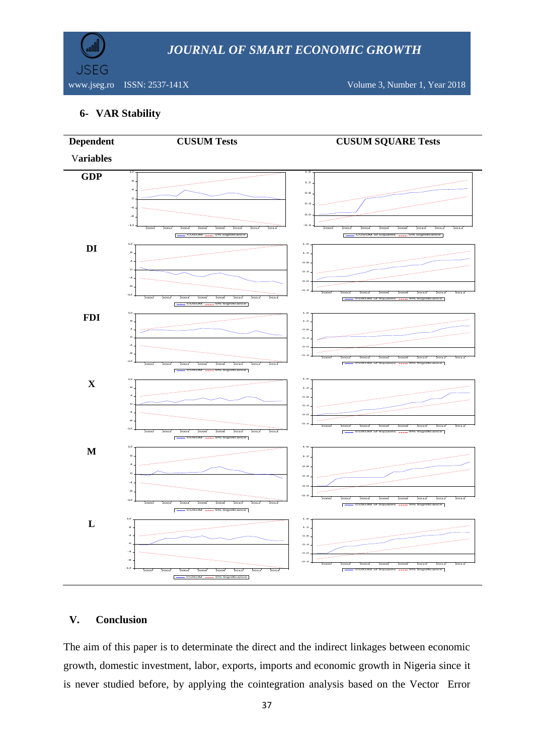

www.jseg.ro ISSN: 2537-141X Volume 3, Number 1, Year 2018

## **6- VAR Stability**



## **V. Conclusion**

The aim of this paper is to determinate the direct and the indirect linkages between economic growth, domestic investment, labor, exports, imports and economic growth in Nigeria since it is never studied before, by applying the cointegration analysis based on the Vector Error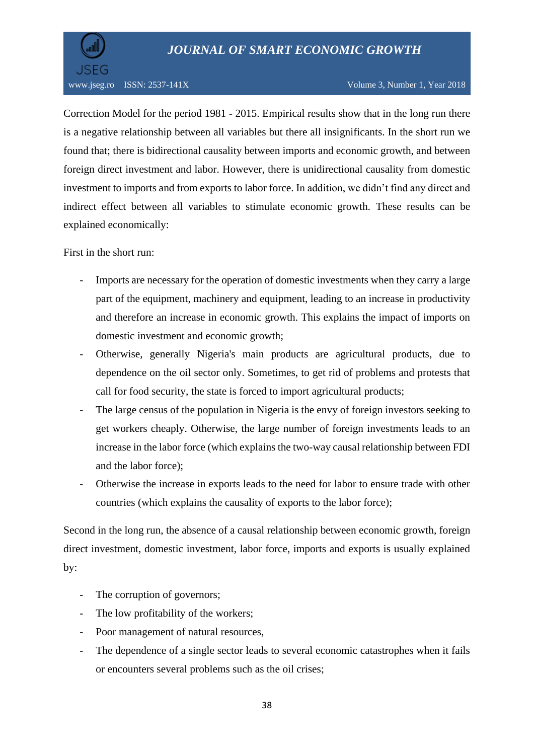

Correction Model for the period 1981 - 2015. Empirical results show that in the long run there is a negative relationship between all variables but there all insignificants. In the short run we found that; there is bidirectional causality between imports and economic growth, and between foreign direct investment and labor. However, there is unidirectional causality from domestic investment to imports and from exports to labor force. In addition, we didn't find any direct and indirect effect between all variables to stimulate economic growth. These results can be explained economically:

First in the short run:

- Imports are necessary for the operation of domestic investments when they carry a large part of the equipment, machinery and equipment, leading to an increase in productivity and therefore an increase in economic growth. This explains the impact of imports on domestic investment and economic growth;
- Otherwise, generally Nigeria's main products are agricultural products, due to dependence on the oil sector only. Sometimes, to get rid of problems and protests that call for food security, the state is forced to import agricultural products;
- The large census of the population in Nigeria is the envy of foreign investors seeking to get workers cheaply. Otherwise, the large number of foreign investments leads to an increase in the labor force (which explains the two-way causal relationship between FDI and the labor force);
- Otherwise the increase in exports leads to the need for labor to ensure trade with other countries (which explains the causality of exports to the labor force);

Second in the long run, the absence of a causal relationship between economic growth, foreign direct investment, domestic investment, labor force, imports and exports is usually explained by:

- The corruption of governors;
- The low profitability of the workers;
- Poor management of natural resources,
- The dependence of a single sector leads to several economic catastrophes when it fails or encounters several problems such as the oil crises;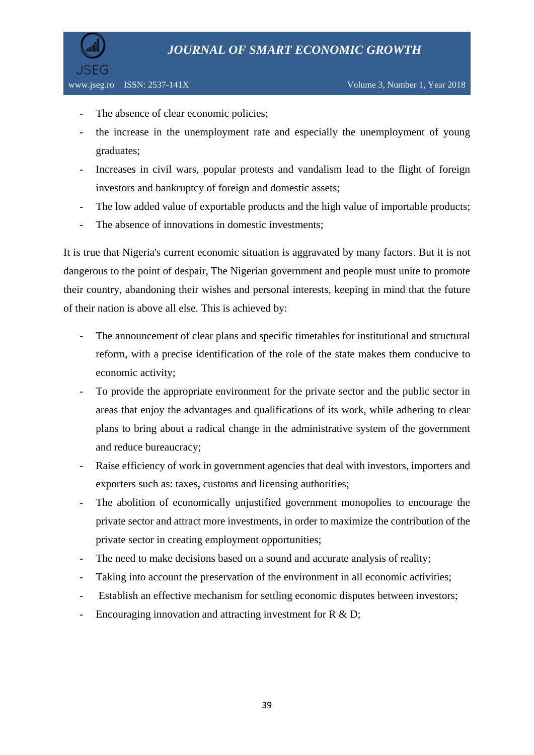

- The absence of clear economic policies;
- the increase in the unemployment rate and especially the unemployment of young graduates;
- Increases in civil wars, popular protests and vandalism lead to the flight of foreign investors and bankruptcy of foreign and domestic assets;
- The low added value of exportable products and the high value of importable products;
- The absence of innovations in domestic investments;

It is true that Nigeria's current economic situation is aggravated by many factors. But it is not dangerous to the point of despair, The Nigerian government and people must unite to promote their country, abandoning their wishes and personal interests, keeping in mind that the future of their nation is above all else. This is achieved by:

- The announcement of clear plans and specific timetables for institutional and structural reform, with a precise identification of the role of the state makes them conducive to economic activity;
- To provide the appropriate environment for the private sector and the public sector in areas that enjoy the advantages and qualifications of its work, while adhering to clear plans to bring about a radical change in the administrative system of the government and reduce bureaucracy;
- Raise efficiency of work in government agencies that deal with investors, importers and exporters such as: taxes, customs and licensing authorities;
- The abolition of economically unjustified government monopolies to encourage the private sector and attract more investments, in order to maximize the contribution of the private sector in creating employment opportunities;
- The need to make decisions based on a sound and accurate analysis of reality;
- Taking into account the preservation of the environment in all economic activities;
- Establish an effective mechanism for settling economic disputes between investors;
- Encouraging innovation and attracting investment for R & D;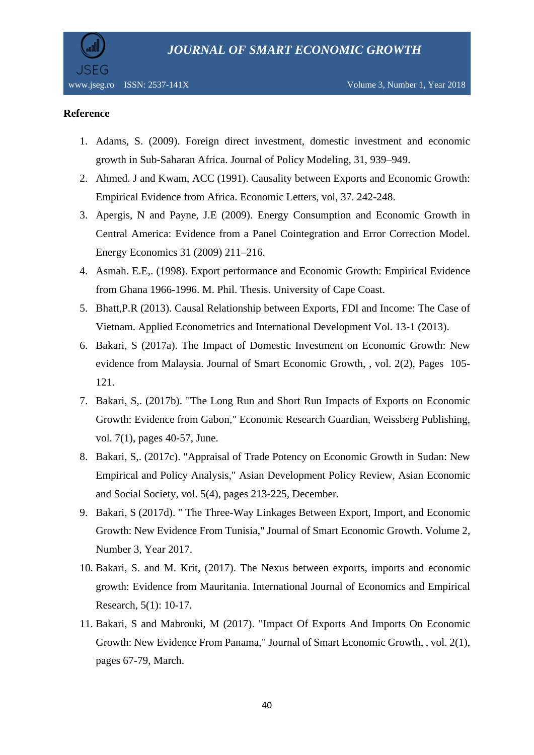

### **Reference**

- 1. Adams, S. (2009). Foreign direct investment, domestic investment and economic growth in Sub-Saharan Africa. Journal of Policy Modeling, 31, 939–949.
- 2. Ahmed. J and Kwam, ACC (1991). Causality between Exports and Economic Growth: Empirical Evidence from Africa. Economic Letters, vol, 37. 242-248.
- 3. Apergis, N and Payne, J.E (2009). Energy Consumption and Economic Growth in Central America: Evidence from a Panel Cointegration and Error Correction Model. Energy Economics 31 (2009) 211–216.
- 4. Asmah. E.E,. (1998). Export performance and Economic Growth: Empirical Evidence from Ghana 1966-1996. M. Phil. Thesis. University of Cape Coast.
- 5. Bhatt,P.R (2013). Causal Relationship between Exports, FDI and Income: The Case of Vietnam. Applied Econometrics and International Development Vol. 13-1 (2013).
- 6. Bakari, S (2017a). The Impact of Domestic Investment on Economic Growth: New evidence from Malaysia. Journal of Smart Economic Growth, , vol. 2(2), Pages 105- 121.
- 7. Bakari, S,. (2017b). "The Long Run and Short Run Impacts of Exports on Economic Growth: Evidence from Gabon," Economic Research Guardian, Weissberg Publishing, vol. 7(1), pages 40-57, June.
- 8. Bakari, S,. (2017c). "Appraisal of Trade Potency on Economic Growth in Sudan: New Empirical and Policy Analysis," Asian Development Policy Review, Asian Economic and Social Society, vol. 5(4), pages 213-225, December.
- 9. Bakari, S (2017d). " The Three-Way Linkages Between Export, Import, and Economic Growth: New Evidence From Tunisia," Journal of Smart Economic Growth. Volume 2, Number 3, Year 2017.
- 10. Bakari, S. and M. Krit, (2017). The Nexus between exports, imports and economic growth: Evidence from Mauritania. International Journal of Economics and Empirical Research, 5(1): 10-17.
- 11. Bakari, S and Mabrouki, M (2017). "Impact Of Exports And Imports On Economic Growth: New Evidence From Panama," Journal of Smart Economic Growth, , vol. 2(1), pages 67-79, March.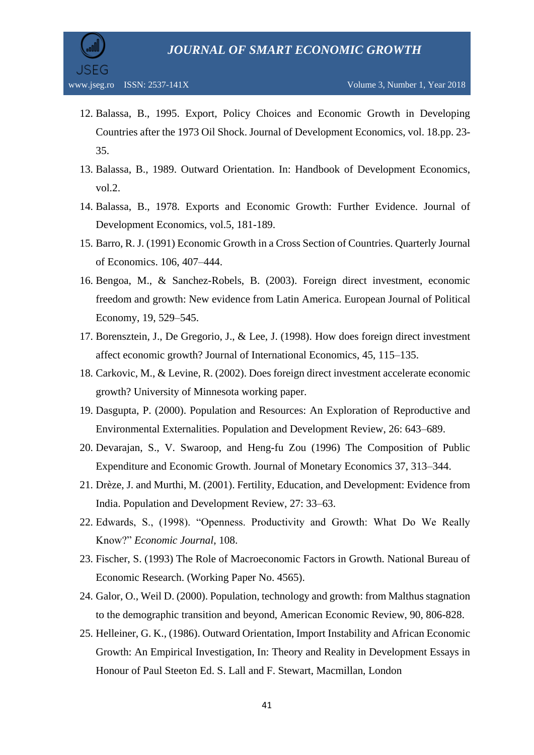

- 12. Balassa, B., 1995. Export, Policy Choices and Economic Growth in Developing Countries after the 1973 Oil Shock. Journal of Development Economics, vol. 18.pp. 23- 35.
- 13. Balassa, B., 1989. Outward Orientation. In: Handbook of Development Economics, vol.2.
- 14. Balassa, B., 1978. Exports and Economic Growth: Further Evidence. Journal of Development Economics, vol.5, 181-189.
- 15. Barro, R. J. (1991) Economic Growth in a Cross Section of Countries. Quarterly Journal of Economics. 106, 407–444.
- 16. Bengoa, M., & Sanchez-Robels, B. (2003). Foreign direct investment, economic freedom and growth: New evidence from Latin America. European Journal of Political Economy, 19, 529–545.
- 17. Borensztein, J., De Gregorio, J., & Lee, J. (1998). How does foreign direct investment affect economic growth? Journal of International Economics, 45, 115–135.
- 18. Carkovic, M., & Levine, R. (2002). Does foreign direct investment accelerate economic growth? University of Minnesota working paper.
- 19. Dasgupta, P. (2000). Population and Resources: An Exploration of Reproductive and Environmental Externalities. Population and Development Review, 26: 643–689.
- 20. Devarajan, S., V. Swaroop, and Heng-fu Zou (1996) The Composition of Public Expenditure and Economic Growth. Journal of Monetary Economics 37, 313–344.
- 21. Drèze, J. and Murthi, M. (2001). Fertility, Education, and Development: Evidence from India. Population and Development Review, 27: 33–63.
- 22. Edwards, S., (1998). "Openness. Productivity and Growth: What Do We Really Know?" *Economic Journal*, 108.
- 23. Fischer, S. (1993) The Role of Macroeconomic Factors in Growth. National Bureau of Economic Research. (Working Paper No. 4565).
- 24. Galor, O., Weil D. (2000). Population, technology and growth: from Malthus stagnation to the demographic transition and beyond, American Economic Review, 90, 806-828.
- 25. Helleiner, G. K., (1986). Outward Orientation, Import Instability and African Economic Growth: An Empirical Investigation, In: Theory and Reality in Development Essays in Honour of Paul Steeton Ed. S. Lall and F. Stewart, Macmillan, London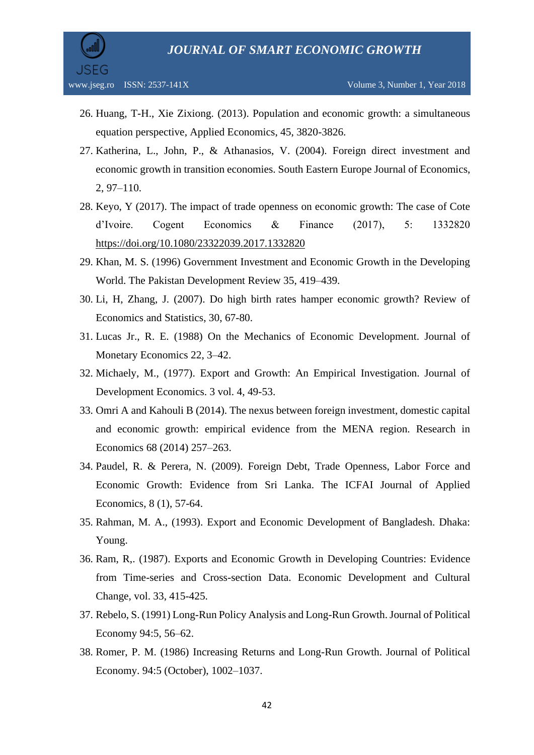

- 26. Huang, T-H., Xie Zixiong. (2013). Population and economic growth: a simultaneous equation perspective, Applied Economics, 45, 3820-3826.
- 27. Katherina, L., John, P., & Athanasios, V. (2004). Foreign direct investment and economic growth in transition economies. South Eastern Europe Journal of Economics, 2, 97–110.
- 28. Keyo, Y (2017). The impact of trade openness on economic growth: The case of Cote d'Ivoire. Cogent Economics & Finance (2017), 5: 1332820 <https://doi.org/10.1080/23322039.2017.1332820>
- 29. Khan, M. S. (1996) Government Investment and Economic Growth in the Developing World. The Pakistan Development Review 35, 419–439.
- 30. Li, H, Zhang, J. (2007). Do high birth rates hamper economic growth? Review of Economics and Statistics, 30, 67-80.
- 31. Lucas Jr., R. E. (1988) On the Mechanics of Economic Development. Journal of Monetary Economics 22, 3–42.
- 32. Michaely, M., (1977). Export and Growth: An Empirical Investigation. Journal of Development Economics. 3 vol. 4, 49-53.
- 33. Omri A and Kahouli B (2014). The nexus between foreign investment, domestic capital and economic growth: empirical evidence from the MENA region. Research in Economics 68 (2014) 257–263.
- 34. Paudel, R. & Perera, N. (2009). Foreign Debt, Trade Openness, Labor Force and Economic Growth: Evidence from Sri Lanka. The ICFAI Journal of Applied Economics, 8 (1), 57-64.
- 35. Rahman, M. A., (1993). Export and Economic Development of Bangladesh. Dhaka: Young.
- 36. Ram, R,. (1987). Exports and Economic Growth in Developing Countries: Evidence from Time-series and Cross-section Data. Economic Development and Cultural Change, vol. 33, 415-425.
- 37. Rebelo, S. (1991) Long-Run Policy Analysis and Long-Run Growth. Journal of Political Economy 94:5, 56–62.
- 38. Romer, P. M. (1986) Increasing Returns and Long-Run Growth. Journal of Political Economy. 94:5 (October), 1002–1037.